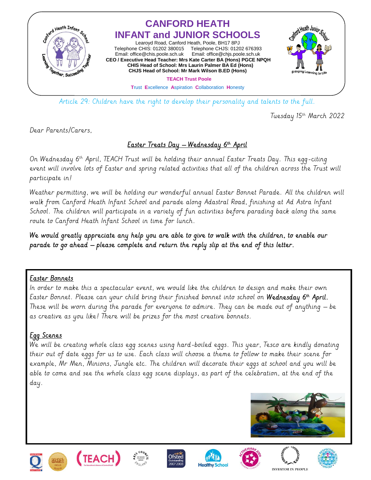

Article 29: Children have the right to develop their personality and talents to the full.

Tuesday 15th March 2022

Dear Parents/Carers,

### <u> Easter Treats Day – Wednesday 6th April</u>

On Wednesday 6<sup>th</sup> April, TEACH Trust will be holding their annual Easter Treats Day. This egg-citing event will involve lots of Easter and spring related activities that all of the children across the Trust will participate in!

Weather permitting, we will be holding our wonderful annual Easter Bonnet Parade. All the children will walk from Canford Heath Infant School and parade along Adastral Road, finishing at Ad Astra Infant School. The children will participate in a variety of fun activities before parading back along the same route to Canford Heath Infant School in time for lunch.

We would greatly appreciate any help you are able to give to walk with the children, to enable our parade to go ahead – please complete and return the reply slip at the end of this letter.

### Easter Bonnets

ł

In order to make this a spectacular event, we would like the children to design and make their own Laster Bonnet. Please can your child bring their finished bonnet into school on **Wednesday 6<sup>in</sup> April.** These will be worn during the parade for everyone to admire. They can be made out of anything – be as creative as you like! There will be prizes for the most creative bonnets.

### Egg Scenes

We will be creating whole class egg scenes using hard-boiled eggs. This year, Tesco are kindly donating their out of date eggs for us to use. Each class will choose a theme to follow to make their scene for example, Mr Men, Minions, Jungle etc. The children will decorate their eggs at school and you will be able to come and see the whole class egg scene displays, as part of the celebration, at the end of the day.















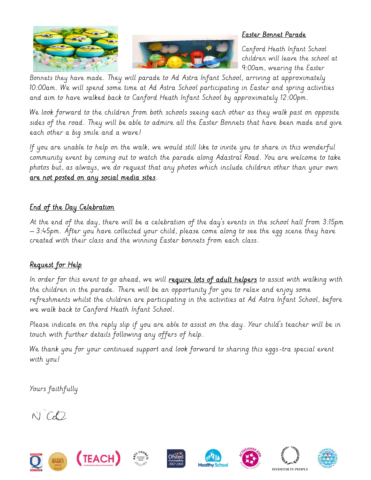



### Easter Bonnet Parade

Canford Heath Infant School children will leave the school at 9:00am, wearing the Easter

Bonnets they have made. They will parade to Ad Astra Infant School, arriving at approximately 10:00am. We will spend some time at Ad Astra School participating in Easter and spring activities and aim to have walked back to Canford Heath Infant School by approximately 12:00pm.

We look forward to the children from both schools seeing each other as they walk past on opposite sides of the road. They will be able to admire all the Easter Bonnets that have been made and give each other a big smile and a wave!

If you are unable to help on the walk, we would still like to invite you to share in this wonderful community event by coming out to watch the parade along Adastral Road. You are welcome to take photos but, as always, we do request that any photos which include children other than your own are not posted on any social media sites.

## <u>End of the Day Celebration</u>

At the end of the day, there will be a celebration of the day's events in the school hall from 3:15pm – 3:45pm. After you have collected your child, please come along to see the egg scene they have created with their class and the winning Easter bonnets from each class.

# Request for Help

In order for this event to go ahead, we will require lots of adult helpers to assist with walking with the children in the parade. There will be an opportunity for you to relax and enjoy some refreshments whilst the children are participating in the activities at Ad Astra Infant School, before we walk back to Canford Heath Infant School.

Please indicate on the reply slip if you are able to assist on the day. Your child's teacher will be in touch with further details following any offers of help.

We thank you for your continued support and look forward to sharing this eggs-tra special event with you!

Yours faithfully

 $N$   $C$ 













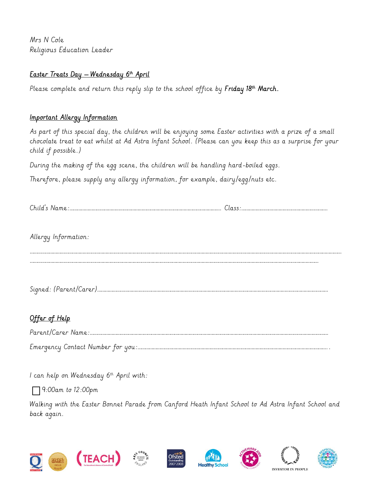Mrs N Cole Religious Education Leader

### <u>Easter Treats Day – Wednesday 6th April</u>

Please complete and return this reply slip to the school office by F**riday 18<sup>th</sup> March.** 

### Important Allergy Information

As part of this special day, the children will be enjoying some Easter activities with a prize of a small chocolate treat to eat whilst at Ad Astra Infant School. (Please can you keep this as a surprise for your child if possible.)

During the making of the egg scene, the children will be handling hard-boiled eggs.

Therefore, please supply any allergy information, for example, dairy/egg/nuts etc.

Allergy Information:

Signed: (Parent/Carer)………………………………………………………………………………………………………………………………………………………………

………………………………………………………………………………………………………………………………………………………………………………………………………

………………………………………………………………………………………………………………………………………………………………………………………………………………………

# Offer of Help

| Parent/Carer Name:                |
|-----------------------------------|
| Emergency Contact Number for you: |

I can help on Wednesday  $6^{th}$  April with:

9:00am to 12:00pm

Walking with the Easter Bonnet Parade from Canford Heath Infant School to Ad Astra Infant School and back again.